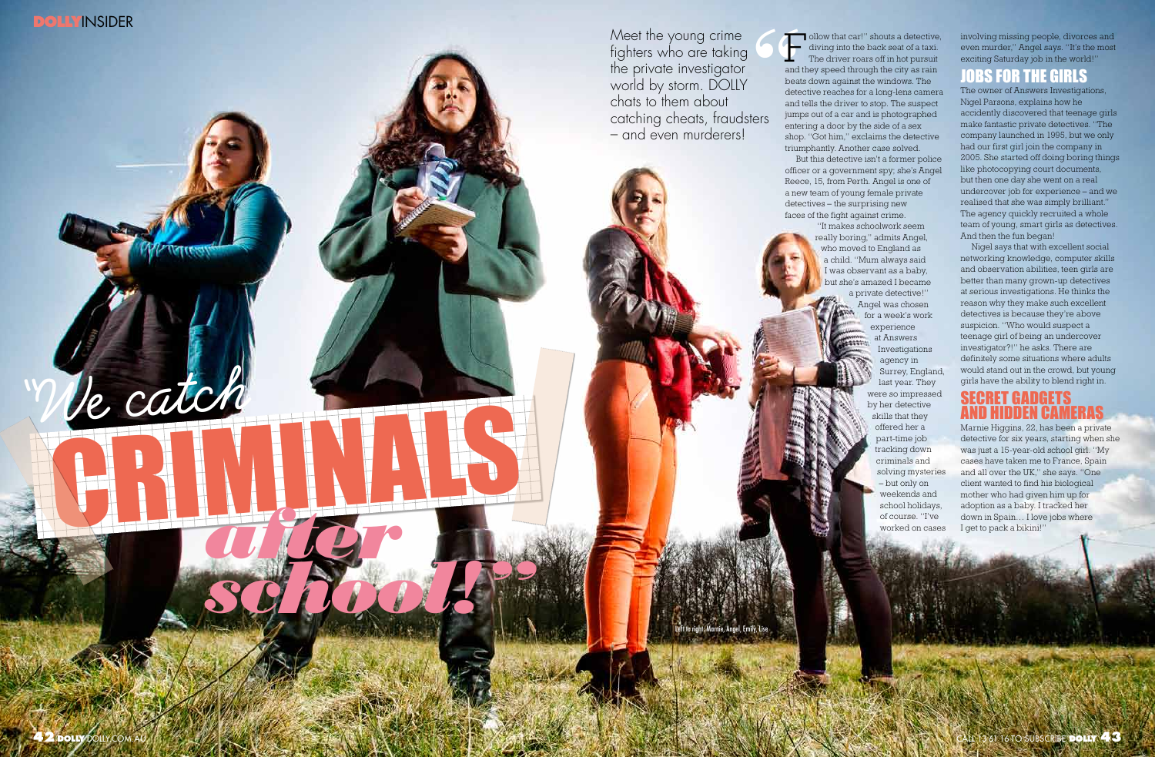

"We catch

and they speed through the city as rain beats down against the windows. The detective reaches for a long-lens camera and tells the driver to stop. The suspect jumps out of a car and is photographed entering a door by the side of a sex shop. "Got him," exclaims the detective triumphantly. Another case solved. officer or a government spy; she's Angel Reece, 15, from Perth. Angel is one of a new team of young female private detectives – the surprising new faces of the fight against crime.

F ollow that car!" shouts a detective,<br>diving into the back seat of a taxi.<br>The driver roars off in hot pursuit diving into the back seat of a taxi. The driver roars off in hot pursuit But this detective isn't a former police "It makes schoolwork seem really boring," admits Angel, who moved to England as a child. "Mum always said I was observant as a baby, but she's amazed I became a private detective!" Angel was chosen for a week's work

 $\begin{array}{c} \begin{array}{c} \begin{array}{c} \begin{array}{c} \text{and} \\ \text{and} \end{array} \end{array} \end{array}$ Meet the young crime fighters who are taking the private investigator world by storm. DOLLY chats to them about catching cheats, fraudsters – and even murderers!

Marnie, Angel, Emily, Lise

experience at Answers Investigations agency in Surrey, England, last year. They were so impressed by her detective skills that they offered her a part-time job tracking down criminals and solving mysteries – but only on weekends and school holidays, of course. "I've worked on cases

Marnie Higgins, 22, has been a private detective for six years, starting when she was just a 15-year-old school girl. "My cases have taken me to France, Spain and all over the UK," she says. "One client wanted to find his biological mother who had given him up for adoption as a baby. I tracked her down in Spain . I Spain and the pack a biking the space of the pack and the pack a biking of the pack and the pack a biking of the space of the space of the space of the space of the space of the space of the space of the

involving missing people, divorces and even murder," Angel says. "It's the most exciting Saturday job in the world!"

#### R THE GIRLS

The owner of Answers Investigations, Nigel Parsons, explains how he accidently discovered that teenage girls make fantastic private detectives. "The company launched in 1995, but we only had our first girl join the company in 2005. She started off doing boring things like photocopying court documents, but then one day she went on a real undercover job for experience – and we realised that she was simply brilliant." The agency quickly recruited a whole team of young, smart girls as detectives. And then the fun began!

Nigel says that with excellent social networking knowledge, computer skills and observation abilities, teen girls are better than many grown-up detectives at serious investigations. He thinks the reason why they make such excellent detectives is because they're above suspicion. "Who would suspect a teenage girl of being an undercover investigator?!" he asks. There are definitely some situations where adults would stand out in the crowd, but young girls have the ability to blend right in.

## Secret gadgets and hidden cameras

*school!"*